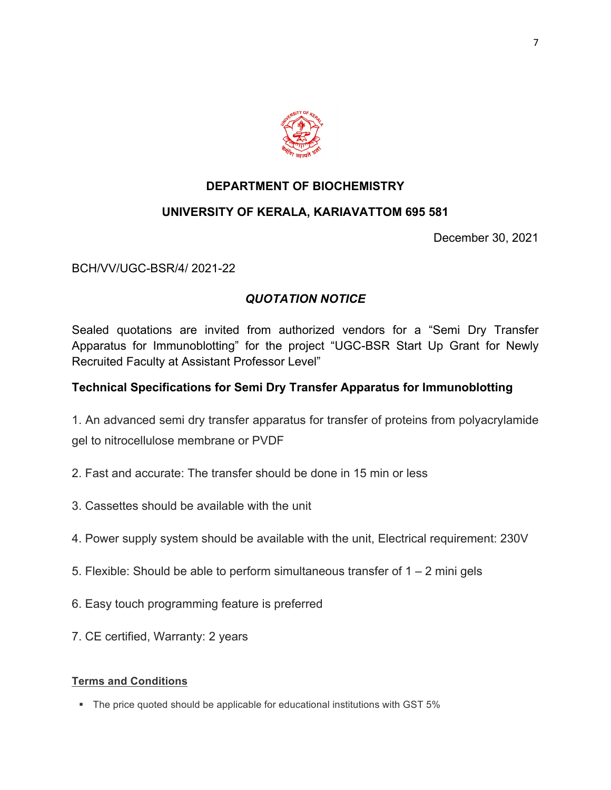

## **DEPARTMENT OF BIOCHEMISTRY**

### **UNIVERSITY OF KERALA, KARIAVATTOM 695 581**

December 30, 2021

BCH/VV/UGC-BSR/4/ 2021-22

# *QUOTATION NOTICE*

Sealed quotations are invited from authorized vendors for a "Semi Dry Transfer Apparatus for Immunoblotting" for the project "UGC-BSR Start Up Grant for Newly Recruited Faculty at Assistant Professor Level"

## **Technical Specifications for Semi Dry Transfer Apparatus for Immunoblotting**

1. An advanced semi dry transfer apparatus for transfer of proteins from polyacrylamide gel to nitrocellulose membrane or PVDF

- 2. Fast and accurate: The transfer should be done in 15 min or less
- 3. Cassettes should be available with the unit
- 4. Power supply system should be available with the unit, Electrical requirement: 230V
- 5. Flexible: Should be able to perform simultaneous transfer of  $1 2$  mini gels
- 6. Easy touch programming feature is preferred
- 7. CE certified, Warranty: 2 years

#### **Terms and Conditions**

• The price quoted should be applicable for educational institutions with GST 5%